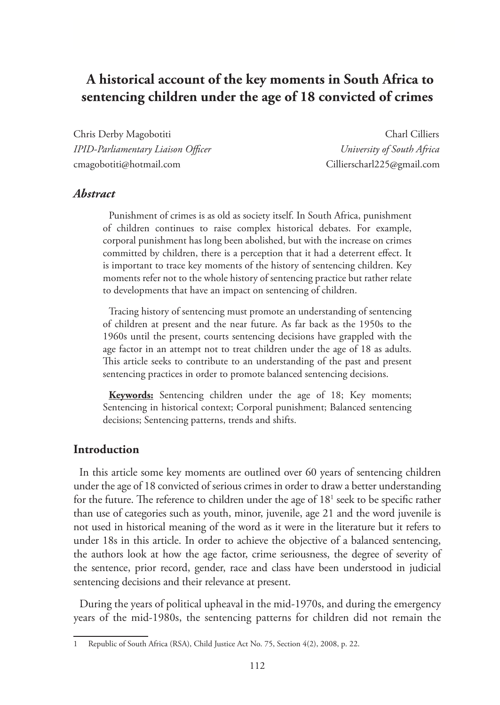# **A historical account of the key moments in South Africa to sentencing children under the age of 18 convicted of crimes**

Chris Derby Magobotiti Charl Cilliers *IPID-Parliamentary Liaison Officer University of South Africa* cmagobotiti@hotmail.com Cillierscharl225@gmail.com

#### *Abstract*

Punishment of crimes is as old as society itself. In South Africa, punishment of children continues to raise complex historical debates. For example, corporal punishment has long been abolished, but with the increase on crimes committed by children, there is a perception that it had a deterrent effect. It is important to trace key moments of the history of sentencing children. Key moments refer not to the whole history of sentencing practice but rather relate to developments that have an impact on sentencing of children.

Tracing history of sentencing must promote an understanding of sentencing of children at present and the near future. As far back as the 1950s to the 1960s until the present, courts sentencing decisions have grappled with the age factor in an attempt not to treat children under the age of 18 as adults. This article seeks to contribute to an understanding of the past and present sentencing practices in order to promote balanced sentencing decisions.

**Keywords:** Sentencing children under the age of 18; Key moments; Sentencing in historical context; Corporal punishment; Balanced sentencing decisions; Sentencing patterns, trends and shifts.

#### **Introduction**

In this article some key moments are outlined over 60 years of sentencing children under the age of 18 convicted of serious crimes in order to draw a better understanding for the future. The reference to children under the age of 18<sup>1</sup> seek to be specific rather than use of categories such as youth, minor, juvenile, age 21 and the word juvenile is not used in historical meaning of the word as it were in the literature but it refers to under 18s in this article. In order to achieve the objective of a balanced sentencing, the authors look at how the age factor, crime seriousness, the degree of severity of the sentence, prior record, gender, race and class have been understood in judicial sentencing decisions and their relevance at present.

During the years of political upheaval in the mid-1970s, and during the emergency years of the mid-1980s, the sentencing patterns for children did not remain the

Republic of South Africa (RSA), Child Justice Act No. 75, Section 4(2), 2008, p. 22.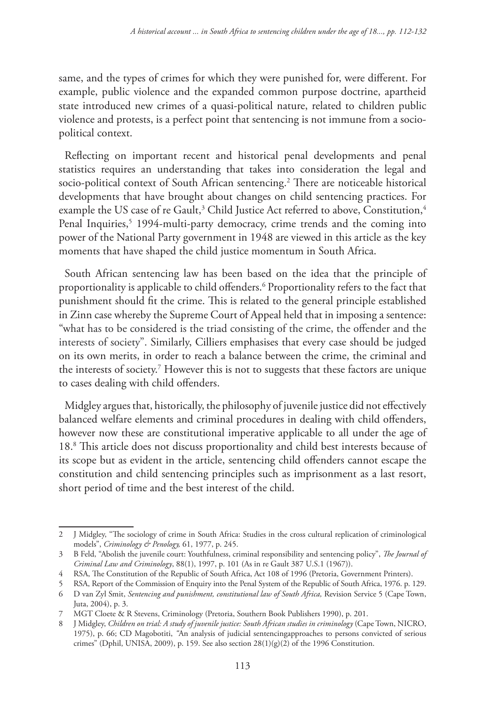same, and the types of crimes for which they were punished for, were different. For example, public violence and the expanded common purpose doctrine, apartheid state introduced new crimes of a quasi-political nature, related to children public violence and protests, is a perfect point that sentencing is not immune from a sociopolitical context.

Reflecting on important recent and historical penal developments and penal statistics requires an understanding that takes into consideration the legal and socio-political context of South African sentencing.2 There are noticeable historical developments that have brought about changes on child sentencing practices. For example the US case of re Gault,<sup>3</sup> Child Justice Act referred to above, Constitution,<sup>4</sup> Penal Inquiries,<sup>5</sup> 1994-multi-party democracy, crime trends and the coming into power of the National Party government in 1948 are viewed in this article as the key moments that have shaped the child justice momentum in South Africa.

South African sentencing law has been based on the idea that the principle of proportionality is applicable to child offenders.6 Proportionality refers to the fact that punishment should fit the crime. This is related to the general principle established in Zinn case whereby the Supreme Court of Appeal held that in imposing a sentence: "what has to be considered is the triad consisting of the crime, the offender and the interests of society". Similarly, Cilliers emphasises that every case should be judged on its own merits, in order to reach a balance between the crime, the criminal and the interests of society.7 However this is not to suggests that these factors are unique to cases dealing with child offenders.

Midgley argues that, historically, the philosophy of juvenile justice did not effectively balanced welfare elements and criminal procedures in dealing with child offenders, however now these are constitutional imperative applicable to all under the age of 18.8 This article does not discuss proportionality and child best interests because of its scope but as evident in the article, sentencing child offenders cannot escape the constitution and child sentencing principles such as imprisonment as a last resort, short period of time and the best interest of the child.

<sup>2</sup> J Midgley, "The sociology of crime in South Africa: Studies in the cross cultural replication of criminological models", *Criminology & Penology,* 61, 1977, p. 245.

<sup>3</sup> B Feld, "Abolish the juvenile court: Youthfulness, criminal responsibility and sentencing policy", *The Journal of Criminal Law and Criminology*, 88(1), 1997, p. 101 (As in re Gault 387 U.S.1 (1967)).

<sup>4</sup> RSA, The Constitution of the Republic of South Africa, Act 108 of 1996 (Pretoria, Government Printers).

<sup>5</sup> RSA, Report of the Commission of Enquiry into the Penal System of the Republic of South Africa, 1976. p. 129.

<sup>6</sup> D van Zyl Smit, *Sentencing and punishment, constitutional law of South Africa,* Revision Service 5 (Cape Town, Juta, 2004), p. 3.

<sup>7</sup> MGT Cloete & R Stevens, Criminology (Pretoria, Southern Book Publishers 1990), p. 201.

<sup>8</sup> J Midgley, *Children on trial: A study of juvenile justice: South African studies in criminology* (Cape Town, NICRO, 1975), p. 66; CD Magobotiti, *"*An analysis of judicial sentencingapproaches to persons convicted of serious crimes" (Dphil, UNISA, 2009), p. 159. See also section 28(1)(g)(2) of the 1996 Constitution.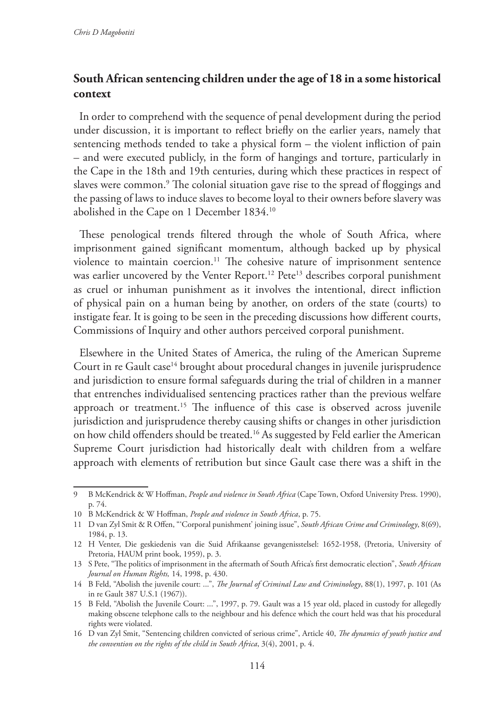# **South African sentencing children under the age of 18 in a some historical context**

In order to comprehend with the sequence of penal development during the period under discussion, it is important to reflect briefly on the earlier years, namely that sentencing methods tended to take a physical form – the violent infliction of pain – and were executed publicly, in the form of hangings and torture, particularly in the Cape in the 18th and 19th centuries, during which these practices in respect of slaves were common.9 The colonial situation gave rise to the spread of floggings and the passing of laws to induce slaves to become loyal to their owners before slavery was abolished in the Cape on 1 December 1834.10

These penological trends filtered through the whole of South Africa, where imprisonment gained significant momentum, although backed up by physical violence to maintain coercion.11 The cohesive nature of imprisonment sentence was earlier uncovered by the Venter Report.<sup>12</sup> Pete<sup>13</sup> describes corporal punishment as cruel or inhuman punishment as it involves the intentional, direct infliction of physical pain on a human being by another, on orders of the state (courts) to instigate fear. It is going to be seen in the preceding discussions how different courts, Commissions of Inquiry and other authors perceived corporal punishment.

Elsewhere in the United States of America, the ruling of the American Supreme Court in re Gault case<sup>14</sup> brought about procedural changes in juvenile jurisprudence and jurisdiction to ensure formal safeguards during the trial of children in a manner that entrenches individualised sentencing practices rather than the previous welfare approach or treatment.15 The influence of this case is observed across juvenile jurisdiction and jurisprudence thereby causing shifts or changes in other jurisdiction on how child offenders should be treated.16 As suggested by Feld earlier the American Supreme Court jurisdiction had historically dealt with children from a welfare approach with elements of retribution but since Gault case there was a shift in the

<sup>9</sup> B McKendrick & W Hoffman, *People and violence in South Africa* (Cape Town, Oxford University Press. 1990), p. 74.

<sup>10</sup> B McKendrick & W Hoffman, *People and violence in South Africa*, p. 75.

<sup>11</sup> D van Zyl Smit & R Offen, "'Corporal punishment' joining issue", *South African Crime and Criminology*, 8(69), 1984, p. 13.

<sup>12</sup> H Venter, Die geskiedenis van die Suid Afrikaanse gevangenisstelsel: 1652-1958, (Pretoria, University of Pretoria, HAUM print book, 1959), p. 3.

<sup>13</sup> S Pete, "The politics of imprisonment in the aftermath of South Africa's first democratic election", *South African Journal on Human Rights,* 14, 1998, p. 430.

<sup>14</sup> B Feld, "Abolish the juvenile court: ...", *The Journal of Criminal Law and Criminology*, 88(1), 1997, p. 101 (As in re Gault 387 U.S.1 (1967)).

<sup>15</sup> B Feld, "Abolish the Juvenile Court: ...", 1997, p. 79. Gault was a 15 year old, placed in custody for allegedly making obscene telephone calls to the neighbour and his defence which the court held was that his procedural rights were violated.

<sup>16</sup> D van Zyl Smit, "Sentencing children convicted of serious crime", Article 40, *The dynamics of youth justice and the convention on the rights of the child in South Africa*, 3(4), 2001, p. 4.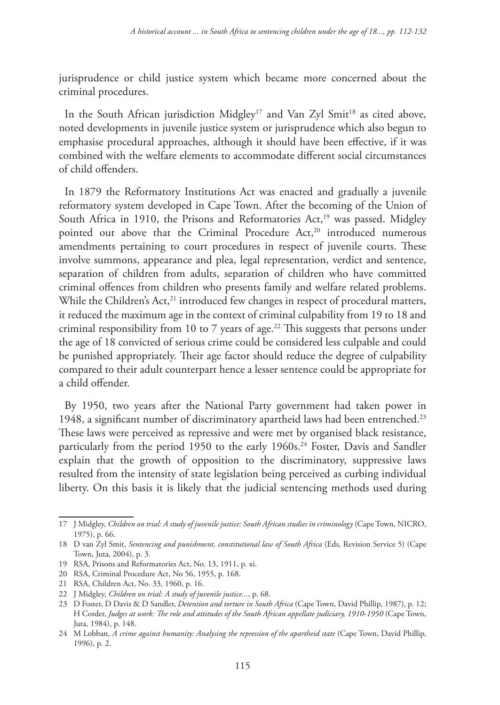jurisprudence or child justice system which became more concerned about the criminal procedures.

In the South African jurisdiction Midgley<sup>17</sup> and Van Zyl Smit<sup>18</sup> as cited above, noted developments in juvenile justice system or jurisprudence which also begun to emphasise procedural approaches, although it should have been effective, if it was combined with the welfare elements to accommodate different social circumstances of child offenders.

In 1879 the Reformatory Institutions Act was enacted and gradually a juvenile reformatory system developed in Cape Town. After the becoming of the Union of South Africa in 1910, the Prisons and Reformatories Act,<sup>19</sup> was passed. Midgley pointed out above that the Criminal Procedure Act,<sup>20</sup> introduced numerous amendments pertaining to court procedures in respect of juvenile courts. These involve summons, appearance and plea, legal representation, verdict and sentence, separation of children from adults, separation of children who have committed criminal offences from children who presents family and welfare related problems. While the Children's Act,<sup>21</sup> introduced few changes in respect of procedural matters, it reduced the maximum age in the context of criminal culpability from 19 to 18 and criminal responsibility from 10 to 7 years of age.<sup>22</sup> This suggests that persons under the age of 18 convicted of serious crime could be considered less culpable and could be punished appropriately. Their age factor should reduce the degree of culpability compared to their adult counterpart hence a lesser sentence could be appropriate for a child offender.

By 1950, two years after the National Party government had taken power in 1948, a significant number of discriminatory apartheid laws had been entrenched.23 These laws were perceived as repressive and were met by organised black resistance, particularly from the period 1950 to the early 1960s.<sup>24</sup> Foster, Davis and Sandler explain that the growth of opposition to the discriminatory, suppressive laws resulted from the intensity of state legislation being perceived as curbing individual liberty. On this basis it is likely that the judicial sentencing methods used during

<sup>17</sup> J Midgley, *Children on trial: A study of juvenile justice: South African studies in criminology* (Cape Town, NICRO, 1975), p. 66.

<sup>18</sup> D van Zyl Smit, *Sentencing and punishment, constitutional law of South Africa* (Eds, Revision Service 5) (Cape Town, Juta, 2004), p. 3.

<sup>19</sup> RSA, Prisons and Reformatories Act, No. 13, 1911, p. xi.

<sup>20</sup> RSA, Criminal Procedure Act, No 56, 1955, p. 168.

<sup>21</sup> RSA, Children Act, No. 33, 1960, p. 16.

<sup>22</sup> J Midgley, *Children on trial: A study of juvenile justice...*, p. 68.

<sup>23</sup> D Foster, D Davis & D Sandler, *Detention and torture in South Africa* (Cape Town, David Phillip, 1987), p. 12; H Corder, *Judges at work: The role and attitudes of the South African appellate judiciary, 1910-1950* (Cape Town, Juta, 1984), p. 148.

<sup>24</sup> M Lobban, *A crime against humanity: Analysing the repression of the apartheid state* (Cape Town, David Phillip, 1996), p. 2.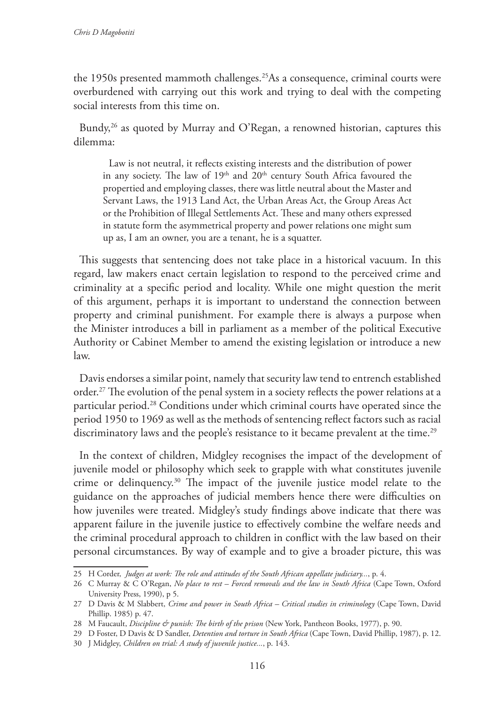the 1950s presented mammoth challenges.<sup>25</sup>As a consequence, criminal courts were overburdened with carrying out this work and trying to deal with the competing social interests from this time on.

Bundy, $26$  as quoted by Murray and O'Regan, a renowned historian, captures this dilemma:

Law is not neutral, it reflects existing interests and the distribution of power in any society. The law of 19<sup>th</sup> and 20<sup>th</sup> century South Africa favoured the propertied and employing classes, there was little neutral about the Master and Servant Laws, the 1913 Land Act, the Urban Areas Act, the Group Areas Act or the Prohibition of Illegal Settlements Act. These and many others expressed in statute form the asymmetrical property and power relations one might sum up as, I am an owner, you are a tenant, he is a squatter.

This suggests that sentencing does not take place in a historical vacuum. In this regard, law makers enact certain legislation to respond to the perceived crime and criminality at a specific period and locality. While one might question the merit of this argument, perhaps it is important to understand the connection between property and criminal punishment. For example there is always a purpose when the Minister introduces a bill in parliament as a member of the political Executive Authority or Cabinet Member to amend the existing legislation or introduce a new law.

Davis endorses a similar point, namely that security law tend to entrench established order.27 The evolution of the penal system in a society reflects the power relations at a particular period.28 Conditions under which criminal courts have operated since the period 1950 to 1969 as well as the methods of sentencing reflect factors such as racial discriminatory laws and the people's resistance to it became prevalent at the time.<sup>29</sup>

In the context of children, Midgley recognises the impact of the development of juvenile model or philosophy which seek to grapple with what constitutes juvenile crime or delinquency.30 The impact of the juvenile justice model relate to the guidance on the approaches of judicial members hence there were difficulties on how juveniles were treated. Midgley's study findings above indicate that there was apparent failure in the juvenile justice to effectively combine the welfare needs and the criminal procedural approach to children in conflict with the law based on their personal circumstances. By way of example and to give a broader picture, this was

<sup>25</sup> H Corder, *Judges at work: The role and attitudes of the South African appellate judiciary...*, p. 4.

<sup>26</sup> C Murray & C O'Regan, *No place to rest – Forced removals and the law in South Africa* (Cape Town, Oxford University Press, 1990), p 5.

<sup>27</sup> D Davis & M Slabbert, *Crime and power in South Africa – Critical studies in criminology* (Cape Town, David Phillip. 1985) p. 47.

<sup>28</sup> M Faucault, *Discipline & punish: The birth of the prison* (New York, Pantheon Books, 1977), p. 90.

<sup>29</sup> D Foster, D Davis & D Sandler, *Detention and torture in South Africa* (Cape Town, David Phillip, 1987), p. 12.

<sup>30</sup> J Midgley, *Children on trial: A study of juvenile justice...*, p. 143.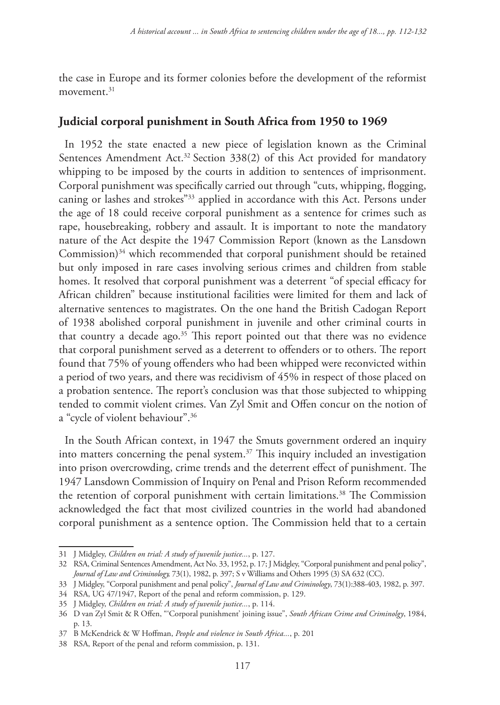the case in Europe and its former colonies before the development of the reformist movement $31$ 

### **Judicial corporal punishment in South Africa from 1950 to 1969**

In 1952 the state enacted a new piece of legislation known as the Criminal Sentences Amendment Act.<sup>32</sup> Section 338(2) of this Act provided for mandatory whipping to be imposed by the courts in addition to sentences of imprisonment. Corporal punishment was specifically carried out through "cuts, whipping, flogging, caning or lashes and strokes"33 applied in accordance with this Act. Persons under the age of 18 could receive corporal punishment as a sentence for crimes such as rape, housebreaking, robbery and assault. It is important to note the mandatory nature of the Act despite the 1947 Commission Report (known as the Lansdown Commission)<sup>34</sup> which recommended that corporal punishment should be retained but only imposed in rare cases involving serious crimes and children from stable homes. It resolved that corporal punishment was a deterrent "of special efficacy for African children" because institutional facilities were limited for them and lack of alternative sentences to magistrates. On the one hand the British Cadogan Report of 1938 abolished corporal punishment in juvenile and other criminal courts in that country a decade ago.<sup>35</sup> This report pointed out that there was no evidence that corporal punishment served as a deterrent to offenders or to others. The report found that 75% of young offenders who had been whipped were reconvicted within a period of two years, and there was recidivism of 45% in respect of those placed on a probation sentence. The report's conclusion was that those subjected to whipping tended to commit violent crimes. Van Zyl Smit and Offen concur on the notion of a "cycle of violent behaviour".36

In the South African context, in 1947 the Smuts government ordered an inquiry into matters concerning the penal system.<sup>37</sup> This inquiry included an investigation into prison overcrowding, crime trends and the deterrent effect of punishment. The 1947 Lansdown Commission of Inquiry on Penal and Prison Reform recommended the retention of corporal punishment with certain limitations.<sup>38</sup> The Commission acknowledged the fact that most civilized countries in the world had abandoned corporal punishment as a sentence option. The Commission held that to a certain

<sup>31</sup> J Midgley, *Children on trial: A study of juvenile justice...*, p. 127.

<sup>32</sup> RSA, Criminal Sentences Amendment, Act No. 33, 1952, p. 17; J Midgley, "Corporal punishment and penal policy", *Journal of Law and Criminology,* 73(1), 1982, p. 397; S v Williams and Others 1995 (3) SA 632 (CC).

<sup>33</sup> J Midgley, "Corporal punishment and penal policy", *Journal of Law and Criminology*, 73(1):388-403, 1982, p. 397.

<sup>34</sup> RSA, UG 47/1947, Report of the penal and reform commission, p. 129.

<sup>35</sup> J Midgley, *Children on trial: A study of juvenile justice...*, p. 114.

<sup>36</sup> D van Zyl Smit & R Offen, "'Corporal punishment' joining issue", *South African Crime and Criminolgy*, 1984, p. 13.

<sup>37</sup> B McKendrick & W Hoffman, *People and violence in South Africa...*, p. 201

<sup>38</sup> RSA, Report of the penal and reform commission, p. 131.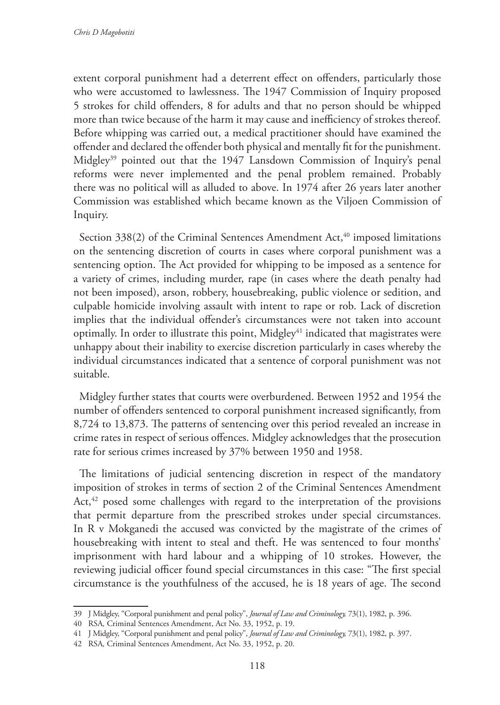extent corporal punishment had a deterrent effect on offenders, particularly those who were accustomed to lawlessness. The 1947 Commission of Inquiry proposed 5 strokes for child offenders, 8 for adults and that no person should be whipped more than twice because of the harm it may cause and inefficiency of strokes thereof. Before whipping was carried out, a medical practitioner should have examined the offender and declared the offender both physical and mentally fit for the punishment. Midgley<sup>39</sup> pointed out that the 1947 Lansdown Commission of Inquiry's penal reforms were never implemented and the penal problem remained. Probably there was no political will as alluded to above. In 1974 after 26 years later another Commission was established which became known as the Viljoen Commission of Inquiry.

Section  $338(2)$  of the Criminal Sentences Amendment Act,<sup>40</sup> imposed limitations on the sentencing discretion of courts in cases where corporal punishment was a sentencing option. The Act provided for whipping to be imposed as a sentence for a variety of crimes, including murder, rape (in cases where the death penalty had not been imposed), arson, robbery, housebreaking, public violence or sedition, and culpable homicide involving assault with intent to rape or rob. Lack of discretion implies that the individual offender's circumstances were not taken into account optimally. In order to illustrate this point,  $Midgley<sup>41</sup> indicated that magistrates were$ unhappy about their inability to exercise discretion particularly in cases whereby the individual circumstances indicated that a sentence of corporal punishment was not suitable.

Midgley further states that courts were overburdened. Between 1952 and 1954 the number of offenders sentenced to corporal punishment increased significantly, from 8,724 to 13,873. The patterns of sentencing over this period revealed an increase in crime rates in respect of serious offences. Midgley acknowledges that the prosecution rate for serious crimes increased by 37% between 1950 and 1958.

The limitations of judicial sentencing discretion in respect of the mandatory imposition of strokes in terms of section 2 of the Criminal Sentences Amendment Act, $42$  posed some challenges with regard to the interpretation of the provisions that permit departure from the prescribed strokes under special circumstances. In R v Mokganedi the accused was convicted by the magistrate of the crimes of housebreaking with intent to steal and theft. He was sentenced to four months' imprisonment with hard labour and a whipping of 10 strokes. However, the reviewing judicial officer found special circumstances in this case: "The first special circumstance is the youthfulness of the accused, he is 18 years of age. The second

<sup>39</sup> J Midgley, "Corporal punishment and penal policy", *Journal of Law and Criminology,* 73(1), 1982, p. 396.

<sup>40</sup> RSA*,* Criminal Sentences Amendment, Act No. 33, 1952, p. 19.

<sup>41</sup> J Midgley, "Corporal punishment and penal policy", *Journal of Law and Criminology,* 73(1), 1982, p. 397.

<sup>42</sup> RSA*,* Criminal Sentences Amendment, Act No. 33, 1952, p. 20.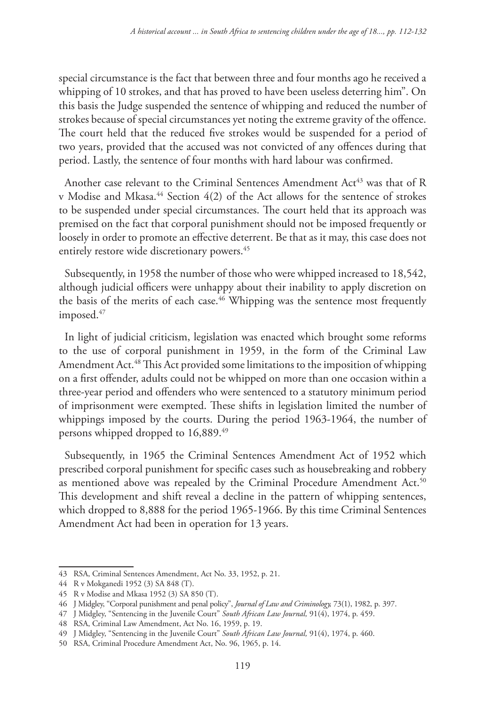special circumstance is the fact that between three and four months ago he received a whipping of 10 strokes, and that has proved to have been useless deterring him". On this basis the Judge suspended the sentence of whipping and reduced the number of strokes because of special circumstances yet noting the extreme gravity of the offence. The court held that the reduced five strokes would be suspended for a period of two years, provided that the accused was not convicted of any offences during that period. Lastly, the sentence of four months with hard labour was confirmed.

Another case relevant to the Criminal Sentences Amendment  $Act^{43}$  was that of R v Modise and Mkasa.<sup>44</sup> Section 4(2) of the Act allows for the sentence of strokes to be suspended under special circumstances. The court held that its approach was premised on the fact that corporal punishment should not be imposed frequently or loosely in order to promote an effective deterrent. Be that as it may, this case does not entirely restore wide discretionary powers.<sup>45</sup>

Subsequently, in 1958 the number of those who were whipped increased to 18,542, although judicial officers were unhappy about their inability to apply discretion on the basis of the merits of each case.<sup>46</sup> Whipping was the sentence most frequently imposed.<sup>47</sup>

In light of judicial criticism, legislation was enacted which brought some reforms to the use of corporal punishment in 1959, in the form of the Criminal Law Amendment Act.<sup>48</sup> This Act provided some limitations to the imposition of whipping on a first offender, adults could not be whipped on more than one occasion within a three-year period and offenders who were sentenced to a statutory minimum period of imprisonment were exempted. These shifts in legislation limited the number of whippings imposed by the courts. During the period 1963-1964, the number of persons whipped dropped to 16,889.<sup>49</sup>

Subsequently, in 1965 the Criminal Sentences Amendment Act of 1952 which prescribed corporal punishment for specific cases such as housebreaking and robbery as mentioned above was repealed by the Criminal Procedure Amendment Act.<sup>50</sup> This development and shift reveal a decline in the pattern of whipping sentences, which dropped to 8,888 for the period 1965-1966. By this time Criminal Sentences Amendment Act had been in operation for 13 years.

<sup>43</sup> RSA, Criminal Sentences Amendment, Act No. 33, 1952, p. 21.

<sup>44</sup> R v Mokganedi 1952 (3) SA 848 (T).

<sup>45</sup> R v Modise and Mkasa 1952 (3) SA 850 (T).

<sup>46</sup> J Midgley, "Corporal punishment and penal policy", *Journal of Law and Criminology,* 73(1), 1982, p. 397.

<sup>47</sup> J Midgley, "Sentencing in the Juvenile Court" *South African Law Journal,* 91(4), 1974, p. 459.

<sup>48</sup> RSA, Criminal Law Amendment, Act No. 16, 1959, p. 19.

<sup>49</sup> J Midgley, "Sentencing in the Juvenile Court" *South African Law Journal,* 91(4), 1974, p. 460.

<sup>50</sup> RSA, Criminal Procedure Amendment Act, No. 96, 1965, p. 14.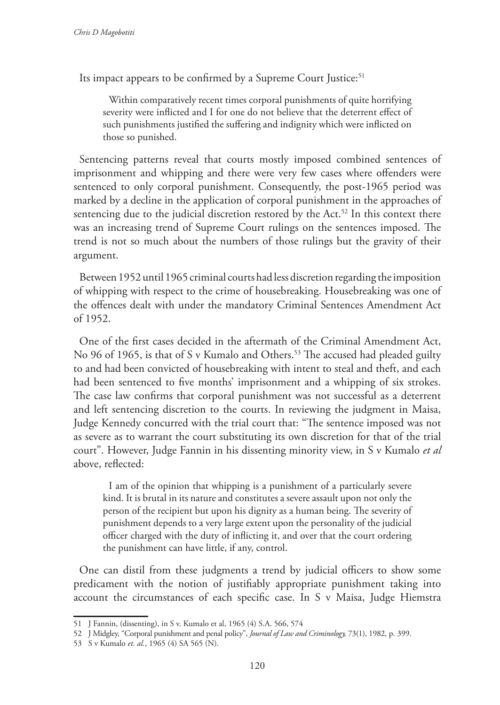Its impact appears to be confirmed by a Supreme Court Justice:<sup>51</sup>

Within comparatively recent times corporal punishments of quite horrifying severity were inflicted and I for one do not believe that the deterrent effect of such punishments justified the suffering and indignity which were inflicted on those so punished.

Sentencing patterns reveal that courts mostly imposed combined sentences of imprisonment and whipping and there were very few cases where offenders were sentenced to only corporal punishment. Consequently, the post-1965 period was marked by a decline in the application of corporal punishment in the approaches of sentencing due to the judicial discretion restored by the Act.<sup>52</sup> In this context there was an increasing trend of Supreme Court rulings on the sentences imposed. The trend is not so much about the numbers of those rulings but the gravity of their argument.

Between 1952 until 1965 criminal courts had less discretion regarding the imposition of whipping with respect to the crime of housebreaking. Housebreaking was one of the offences dealt with under the mandatory Criminal Sentences Amendment Act of 1952.

One of the first cases decided in the aftermath of the Criminal Amendment Act, No 96 of 1965, is that of S v Kumalo and Others.<sup>53</sup> The accused had pleaded guilty to and had been convicted of housebreaking with intent to steal and theft, and each had been sentenced to five months' imprisonment and a whipping of six strokes. The case law confirms that corporal punishment was not successful as a deterrent and left sentencing discretion to the courts. In reviewing the judgment in Maisa, Judge Kennedy concurred with the trial court that: "The sentence imposed was not as severe as to warrant the court substituting its own discretion for that of the trial court". However, Judge Fannin in his dissenting minority view, in S v Kumalo *et al*  above, reflected:

I am of the opinion that whipping is a punishment of a particularly severe kind. It is brutal in its nature and constitutes a severe assault upon not only the person of the recipient but upon his dignity as a human being. The severity of punishment depends to a very large extent upon the personality of the judicial officer charged with the duty of inflicting it, and over that the court ordering the punishment can have little, if any, control.

One can distil from these judgments a trend by judicial officers to show some predicament with the notion of justifiably appropriate punishment taking into account the circumstances of each specific case. In S v Maisa, Judge Hiemstra

<sup>51</sup> J Fannin, (dissenting), in S v. Kumalo et al, 1965 (4) S.A. 566, 574

<sup>52</sup> J Midgley, "Corporal punishment and penal policy", *Journal of Law and Criminology,* 73(1), 1982, p. 399.

<sup>53</sup> S v Kumalo *et. al.*, 1965 (4) SA 565 (N).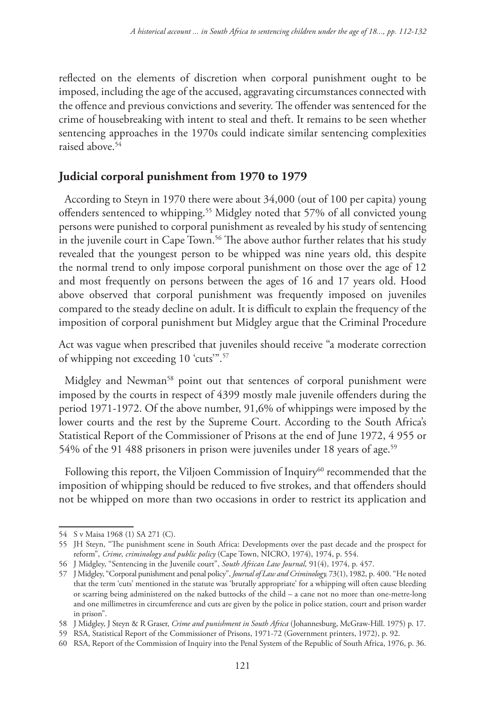reflected on the elements of discretion when corporal punishment ought to be imposed, including the age of the accused, aggravating circumstances connected with the offence and previous convictions and severity. The offender was sentenced for the crime of housebreaking with intent to steal and theft. It remains to be seen whether sentencing approaches in the 1970s could indicate similar sentencing complexities raised above.54

## **Judicial corporal punishment from 1970 to 1979**

According to Steyn in 1970 there were about 34,000 (out of 100 per capita) young offenders sentenced to whipping.<sup>55</sup> Midgley noted that 57% of all convicted young persons were punished to corporal punishment as revealed by his study of sentencing in the juvenile court in Cape Town.<sup>56</sup> The above author further relates that his study revealed that the youngest person to be whipped was nine years old, this despite the normal trend to only impose corporal punishment on those over the age of 12 and most frequently on persons between the ages of 16 and 17 years old. Hood above observed that corporal punishment was frequently imposed on juveniles compared to the steady decline on adult. It is difficult to explain the frequency of the imposition of corporal punishment but Midgley argue that the Criminal Procedure

Act was vague when prescribed that juveniles should receive "a moderate correction of whipping not exceeding 10 'cuts'".57

Midgley and Newman<sup>58</sup> point out that sentences of corporal punishment were imposed by the courts in respect of 4399 mostly male juvenile offenders during the period 1971-1972. Of the above number, 91,6% of whippings were imposed by the lower courts and the rest by the Supreme Court. According to the South Africa's Statistical Report of the Commissioner of Prisons at the end of June 1972, 4 955 or 54% of the 91 488 prisoners in prison were juveniles under 18 years of age.<sup>59</sup>

Following this report, the Viljoen Commission of Inquiry<sup>60</sup> recommended that the imposition of whipping should be reduced to five strokes, and that offenders should not be whipped on more than two occasions in order to restrict its application and

<sup>54</sup> S v Maisa 1968 (1) SA 271 (C).

<sup>55</sup> JH Steyn, "The punishment scene in South Africa: Developments over the past decade and the prospect for reform", *Crime, criminology and public policy* (Cape Town, NICRO, 1974), 1974, p. 554.

<sup>56</sup> J Midgley, "Sentencing in the Juvenile court", *South African Law Journal,* 91(4), 1974, p. 457.

<sup>57</sup> J Midgley, "Corporal punishment and penal policy", *Journal of Law and Criminology,* 73(1), 1982, p. 400. "He noted that the term 'cuts' mentioned in the statute was 'brutally appropriate' for a whipping will often cause bleeding or scarring being administered on the naked buttocks of the child – a cane not no more than one-metre-long and one millimetres in circumference and cuts are given by the police in police station, court and prison warder in prison".

<sup>58</sup> J Midgley, J Steyn & R Graser, *Crime and punishment in South Africa* (Johannesburg, McGraw-Hill. 1975) p. 17.

<sup>59</sup> RSA, Statistical Report of the Commissioner of Prisons, 1971-72 (Government printers, 1972), p. 92.

<sup>60</sup> RSA, Report of the Commission of Inquiry into the Penal System of the Republic of South Africa, 1976, p. 36.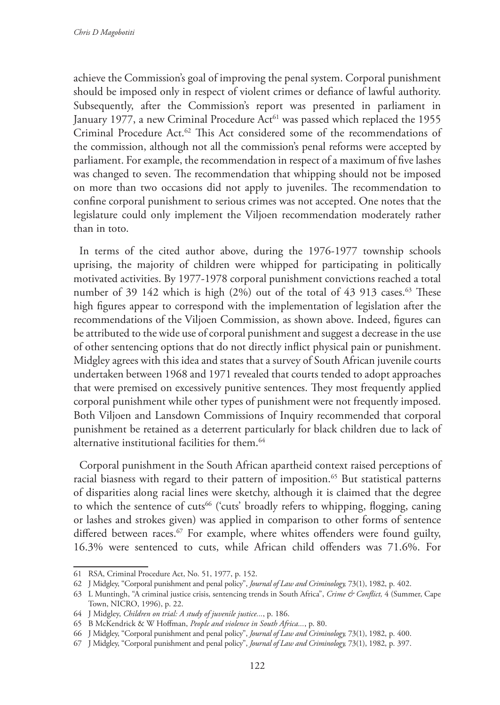achieve the Commission's goal of improving the penal system. Corporal punishment should be imposed only in respect of violent crimes or defiance of lawful authority. Subsequently, after the Commission's report was presented in parliament in January 1977, a new Criminal Procedure Act<sup>61</sup> was passed which replaced the 1955 Criminal Procedure Act.62 This Act considered some of the recommendations of the commission, although not all the commission's penal reforms were accepted by parliament. For example, the recommendation in respect of a maximum of five lashes was changed to seven. The recommendation that whipping should not be imposed on more than two occasions did not apply to juveniles. The recommendation to confine corporal punishment to serious crimes was not accepted. One notes that the legislature could only implement the Viljoen recommendation moderately rather than in toto.

In terms of the cited author above, during the 1976-1977 township schools uprising, the majority of children were whipped for participating in politically motivated activities. By 1977-1978 corporal punishment convictions reached a total number of 39  $142$  which is high (2%) out of the total of 43  $913$  cases.<sup>63</sup> These high figures appear to correspond with the implementation of legislation after the recommendations of the Viljoen Commission, as shown above. Indeed, figures can be attributed to the wide use of corporal punishment and suggest a decrease in the use of other sentencing options that do not directly inflict physical pain or punishment. Midgley agrees with this idea and states that a survey of South African juvenile courts undertaken between 1968 and 1971 revealed that courts tended to adopt approaches that were premised on excessively punitive sentences. They most frequently applied corporal punishment while other types of punishment were not frequently imposed. Both Viljoen and Lansdown Commissions of Inquiry recommended that corporal punishment be retained as a deterrent particularly for black children due to lack of alternative institutional facilities for them.<sup>64</sup>

Corporal punishment in the South African apartheid context raised perceptions of racial biasness with regard to their pattern of imposition.<sup>65</sup> But statistical patterns of disparities along racial lines were sketchy, although it is claimed that the degree to which the sentence of cuts<sup>66</sup> ('cuts' broadly refers to whipping, flogging, caning or lashes and strokes given) was applied in comparison to other forms of sentence differed between races.<sup>67</sup> For example, where whites offenders were found guilty, 16.3% were sentenced to cuts, while African child offenders was 71.6%. For

<sup>61</sup> RSA, Criminal Procedure Act, No. 51, 1977, p. 152.

<sup>62</sup> J Midgley, "Corporal punishment and penal policy", *Journal of Law and Criminology,* 73(1), 1982, p. 402.

<sup>63</sup> L Muntingh, "A criminal justice crisis, sentencing trends in South Africa", *Crime & Conflict,* 4 (Summer, Cape Town, NICRO, 1996), p. 22.

<sup>64</sup> J Midgley, *Children on trial: A study of juvenile justice...*, p. 186.

<sup>65</sup> B McKendrick & W Hoffman, *People and violence in South Africa...*, p. 80.

<sup>66</sup> J Midgley, "Corporal punishment and penal policy", *Journal of Law and Criminology,* 73(1), 1982, p. 400.

<sup>67</sup> J Midgley, "Corporal punishment and penal policy", *Journal of Law and Criminology,* 73(1), 1982, p. 397.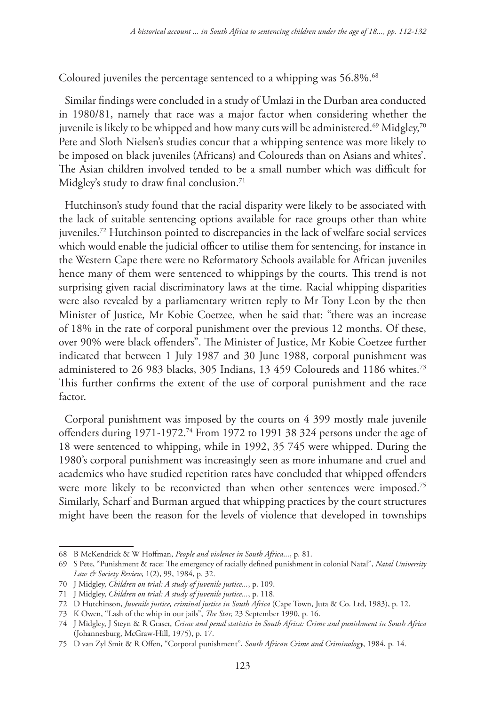Coloured juveniles the percentage sentenced to a whipping was 56.8%.<sup>68</sup>

Similar findings were concluded in a study of Umlazi in the Durban area conducted in 1980/81, namely that race was a major factor when considering whether the juvenile is likely to be whipped and how many cuts will be administered.<sup>69</sup> Midgley,<sup>70</sup> Pete and Sloth Nielsen's studies concur that a whipping sentence was more likely to be imposed on black juveniles (Africans) and Coloureds than on Asians and whites'. The Asian children involved tended to be a small number which was difficult for Midgley's study to draw final conclusion.<sup>71</sup>

Hutchinson's study found that the racial disparity were likely to be associated with the lack of suitable sentencing options available for race groups other than white juveniles.72 Hutchinson pointed to discrepancies in the lack of welfare social services which would enable the judicial officer to utilise them for sentencing, for instance in the Western Cape there were no Reformatory Schools available for African juveniles hence many of them were sentenced to whippings by the courts. This trend is not surprising given racial discriminatory laws at the time. Racial whipping disparities were also revealed by a parliamentary written reply to Mr Tony Leon by the then Minister of Justice, Mr Kobie Coetzee, when he said that: "there was an increase of 18% in the rate of corporal punishment over the previous 12 months. Of these, over 90% were black offenders". The Minister of Justice, Mr Kobie Coetzee further indicated that between 1 July 1987 and 30 June 1988, corporal punishment was administered to 26 983 blacks, 305 Indians, 13 459 Coloureds and 1186 whites.73 This further confirms the extent of the use of corporal punishment and the race factor.

Corporal punishment was imposed by the courts on 4 399 mostly male juvenile offenders during 1971-1972.74 From 1972 to 1991 38 324 persons under the age of 18 were sentenced to whipping, while in 1992, 35 745 were whipped. During the 1980's corporal punishment was increasingly seen as more inhumane and cruel and academics who have studied repetition rates have concluded that whipped offenders were more likely to be reconvicted than when other sentences were imposed.<sup>75</sup> Similarly, Scharf and Burman argued that whipping practices by the court structures might have been the reason for the levels of violence that developed in townships

<sup>68</sup> B McKendrick & W Hoffman, *People and violence in South Africa...*, p. 81.

<sup>69</sup> S Pete, "Punishment & race: The emergency of racially defined punishment in colonial Natal", *Natal University Law & Society Review,* 1(2), 99, 1984, p. 32.

<sup>70</sup> J Midgley, *Children on trial: A study of juvenile justice...*, p. 109.

<sup>71</sup> J Midgley, *Children on trial: A study of juvenile justice...*, p. 118.

<sup>72</sup> D Hutchinson, *Juvenile justice, criminal justice in South Africa* (Cape Town, Juta & Co. Ltd, 1983), p. 12.

<sup>73</sup> K Owen, "Lash of the whip in our jails", *The Star,* 23 September 1990, p. 16.

<sup>74</sup> J Midgley, J Steyn & R Graser, *Crime and penal statistics in South Africa: Crime and punishment in South Africa* (Johannesburg, McGraw-Hill, 1975), p. 17.

<sup>75</sup> D van Zyl Smit & R Offen, "Corporal punishment", *South African Crime and Criminology*, 1984, p. 14.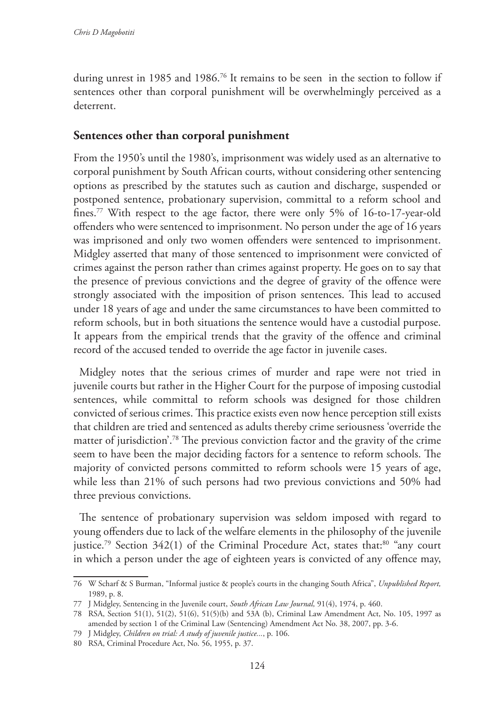during unrest in 1985 and 1986.76 It remains to be seen in the section to follow if sentences other than corporal punishment will be overwhelmingly perceived as a deterrent.

## **Sentences other than corporal punishment**

From the 1950's until the 1980's, imprisonment was widely used as an alternative to corporal punishment by South African courts, without considering other sentencing options as prescribed by the statutes such as caution and discharge, suspended or postponed sentence, probationary supervision, committal to a reform school and fines.77 With respect to the age factor, there were only 5% of 16-to-17-year-old offenders who were sentenced to imprisonment. No person under the age of 16 years was imprisoned and only two women offenders were sentenced to imprisonment. Midgley asserted that many of those sentenced to imprisonment were convicted of crimes against the person rather than crimes against property. He goes on to say that the presence of previous convictions and the degree of gravity of the offence were strongly associated with the imposition of prison sentences. This lead to accused under 18 years of age and under the same circumstances to have been committed to reform schools, but in both situations the sentence would have a custodial purpose. It appears from the empirical trends that the gravity of the offence and criminal record of the accused tended to override the age factor in juvenile cases.

Midgley notes that the serious crimes of murder and rape were not tried in juvenile courts but rather in the Higher Court for the purpose of imposing custodial sentences, while committal to reform schools was designed for those children convicted of serious crimes. This practice exists even now hence perception still exists that children are tried and sentenced as adults thereby crime seriousness 'override the matter of jurisdiction'.78 The previous conviction factor and the gravity of the crime seem to have been the major deciding factors for a sentence to reform schools. The majority of convicted persons committed to reform schools were 15 years of age, while less than 21% of such persons had two previous convictions and 50% had three previous convictions.

The sentence of probationary supervision was seldom imposed with regard to young offenders due to lack of the welfare elements in the philosophy of the juvenile justice.<sup>79</sup> Section  $342(1)$  of the Criminal Procedure Act, states that:<sup>80</sup> "any court in which a person under the age of eighteen years is convicted of any offence may,

<sup>76</sup> W Scharf & S Burman, "Informal justice & people's courts in the changing South Africa", *Unpublished Report,* 1989, p. 8.

<sup>77</sup> J Midgley, Sentencing in the Juvenile court, *South African Law Journal,* 91(4), 1974, p. 460.

<sup>78</sup> RSA, Section 51(1), 51(2), 51(6), 51(5)(b) and 53A (b), Criminal Law Amendment Act, No. 105, 1997 as amended by section 1 of the Criminal Law (Sentencing) Amendment Act No. 38, 2007, pp. 3-6.

<sup>79</sup> J Midgley, *Children on trial: A study of juvenile justice...*, p. 106.

<sup>80</sup> RSA, Criminal Procedure Act, No. 56, 1955, p. 37.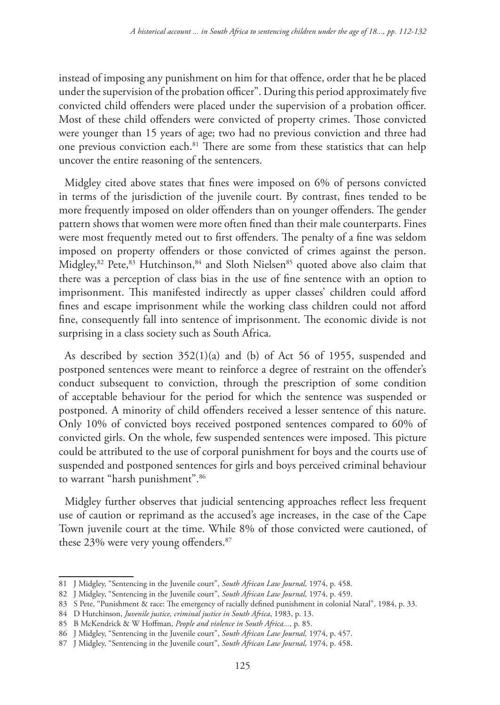instead of imposing any punishment on him for that offence, order that he be placed under the supervision of the probation officer". During this period approximately five convicted child offenders were placed under the supervision of a probation officer. Most of these child offenders were convicted of property crimes. Those convicted were younger than 15 years of age; two had no previous conviction and three had one previous conviction each.81 There are some from these statistics that can help uncover the entire reasoning of the sentencers.

Midgley cited above states that fines were imposed on 6% of persons convicted in terms of the jurisdiction of the juvenile court. By contrast, fines tended to be more frequently imposed on older offenders than on younger offenders. The gender pattern shows that women were more often fined than their male counterparts. Fines were most frequently meted out to first offenders. The penalty of a fine was seldom imposed on property offenders or those convicted of crimes against the person. Midgley,<sup>82</sup> Pete,<sup>83</sup> Hutchinson,<sup>84</sup> and Sloth Nielsen<sup>85</sup> quoted above also claim that there was a perception of class bias in the use of fine sentence with an option to imprisonment. This manifested indirectly as upper classes' children could afford fines and escape imprisonment while the working class children could not afford fine, consequently fall into sentence of imprisonment. The economic divide is not surprising in a class society such as South Africa.

As described by section 352(1)(a) and (b) of Act 56 of 1955, suspended and postponed sentences were meant to reinforce a degree of restraint on the offender's conduct subsequent to conviction, through the prescription of some condition of acceptable behaviour for the period for which the sentence was suspended or postponed. A minority of child offenders received a lesser sentence of this nature. Only 10% of convicted boys received postponed sentences compared to 60% of convicted girls. On the whole, few suspended sentences were imposed. This picture could be attributed to the use of corporal punishment for boys and the courts use of suspended and postponed sentences for girls and boys perceived criminal behaviour to warrant "harsh punishment".<sup>86</sup>

Midgley further observes that judicial sentencing approaches reflect less frequent use of caution or reprimand as the accused's age increases, in the case of the Cape Town juvenile court at the time. While 8% of those convicted were cautioned, of these 23% were very young offenders.87

<sup>81</sup> J Midgley, "Sentencing in the Juvenile court", *South African Law Journal,* 1974, p. 458.

<sup>82</sup> J Midgley, "Sentencing in the Juvenile court", *South African Law Journal,* 1974, p. 459.

<sup>83</sup> S Pete, "Punishment & race: The emergency of racially defined punishment in colonial Natal", 1984, p. 33.

<sup>84</sup> D Hutchinson, *Juvenile justice, criminal justice in South Africa*, 1983, p. 13.

<sup>85</sup> B McKendrick & W Hoffman, *People and violence in South Africa...,* p. 85.

<sup>86</sup> J Midgley, "Sentencing in the Juvenile court", *South African Law Journal,* 1974, p. 457.

<sup>87</sup> J Midgley, "Sentencing in the Juvenile court", *South African Law Journal,* 1974, p. 458.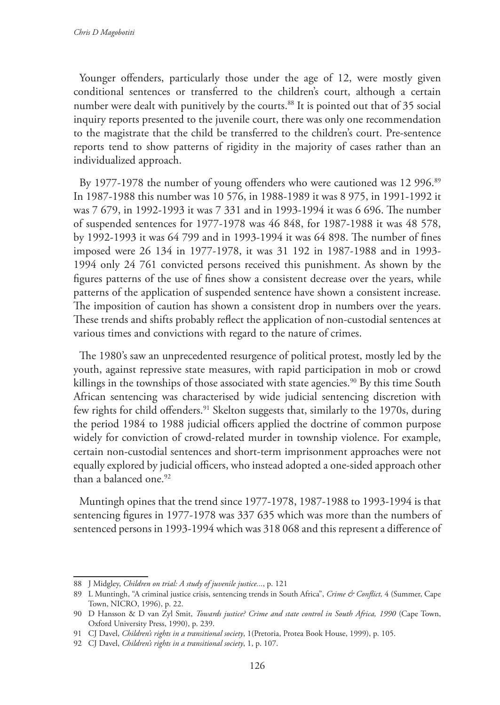Younger offenders, particularly those under the age of 12, were mostly given conditional sentences or transferred to the children's court, although a certain number were dealt with punitively by the courts.<sup>88</sup> It is pointed out that of 35 social inquiry reports presented to the juvenile court, there was only one recommendation to the magistrate that the child be transferred to the children's court. Pre-sentence reports tend to show patterns of rigidity in the majority of cases rather than an individualized approach.

By 1977-1978 the number of young offenders who were cautioned was 12 996.89 In 1987-1988 this number was 10 576, in 1988-1989 it was 8 975, in 1991-1992 it was 7 679, in 1992-1993 it was 7 331 and in 1993-1994 it was 6 696. The number of suspended sentences for 1977-1978 was 46 848, for 1987-1988 it was 48 578, by 1992-1993 it was 64 799 and in 1993-1994 it was 64 898. The number of fines imposed were 26 134 in 1977-1978, it was 31 192 in 1987-1988 and in 1993- 1994 only 24 761 convicted persons received this punishment. As shown by the figures patterns of the use of fines show a consistent decrease over the years, while patterns of the application of suspended sentence have shown a consistent increase. The imposition of caution has shown a consistent drop in numbers over the years. These trends and shifts probably reflect the application of non-custodial sentences at various times and convictions with regard to the nature of crimes.

The 1980's saw an unprecedented resurgence of political protest, mostly led by the youth, against repressive state measures, with rapid participation in mob or crowd killings in the townships of those associated with state agencies.<sup>90</sup> By this time South African sentencing was characterised by wide judicial sentencing discretion with few rights for child offenders.<sup>91</sup> Skelton suggests that, similarly to the 1970s, during the period 1984 to 1988 judicial officers applied the doctrine of common purpose widely for conviction of crowd-related murder in township violence. For example, certain non-custodial sentences and short-term imprisonment approaches were not equally explored by judicial officers, who instead adopted a one-sided approach other than a balanced one.<sup>92</sup>

Muntingh opines that the trend since 1977-1978, 1987-1988 to 1993-1994 is that sentencing figures in 1977-1978 was 337 635 which was more than the numbers of sentenced persons in 1993-1994 which was 318 068 and this represent a difference of

<sup>88</sup> J Midgley, *Children on trial: A study of juvenile justice...*, p. 121

<sup>89</sup> L Muntingh, "A criminal justice crisis, sentencing trends in South Africa", *Crime & Conflict,* 4 (Summer, Cape Town, NICRO, 1996), p. 22.

<sup>90</sup> D Hansson & D van Zyl Smit, *Towards justice? Crime and state control in South Africa, 1990* (Cape Town, Oxford University Press, 1990), p. 239.

<sup>91</sup> CJ Davel, *Children's rights in a transitional society*, 1(Pretoria, Protea Book House, 1999), p. 105.

<sup>92</sup> CJ Davel, *Children's rights in a transitional society*, 1, p. 107.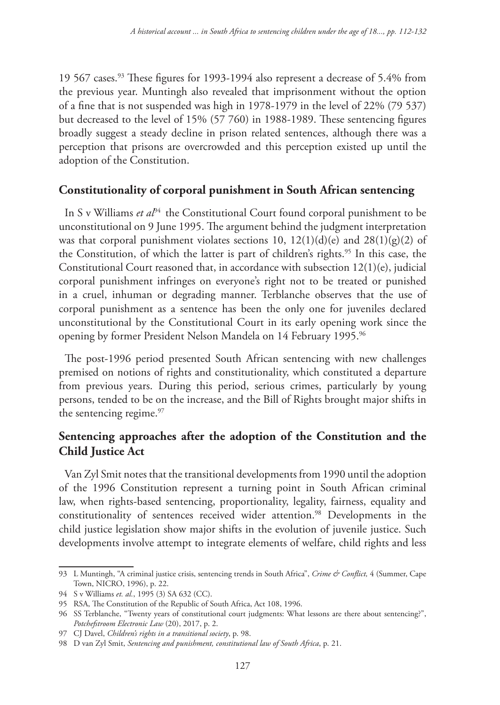19 567 cases.93 These figures for 1993-1994 also represent a decrease of 5.4% from the previous year. Muntingh also revealed that imprisonment without the option of a fine that is not suspended was high in 1978-1979 in the level of 22% (79 537) but decreased to the level of 15% (57 760) in 1988-1989. These sentencing figures broadly suggest a steady decline in prison related sentences, although there was a perception that prisons are overcrowded and this perception existed up until the adoption of the Constitution.

## **Constitutionality of corporal punishment in South African sentencing**

In S v Williams *et al*<sup>94</sup> the Constitutional Court found corporal punishment to be unconstitutional on 9 June 1995. The argument behind the judgment interpretation was that corporal punishment violates sections 10,  $12(1)(d)(e)$  and  $28(1)(g)(2)$  of the Constitution, of which the latter is part of children's rights.<sup>95</sup> In this case, the Constitutional Court reasoned that, in accordance with subsection 12(1)(e), judicial corporal punishment infringes on everyone's right not to be treated or punished in a cruel, inhuman or degrading manner. Terblanche observes that the use of corporal punishment as a sentence has been the only one for juveniles declared unconstitutional by the Constitutional Court in its early opening work since the opening by former President Nelson Mandela on 14 February 1995.<sup>96</sup>

The post-1996 period presented South African sentencing with new challenges premised on notions of rights and constitutionality, which constituted a departure from previous years. During this period, serious crimes, particularly by young persons, tended to be on the increase, and the Bill of Rights brought major shifts in the sentencing regime.<sup>97</sup>

# **Sentencing approaches after the adoption of the Constitution and the Child Justice Act**

Van Zyl Smit notes that the transitional developments from 1990 until the adoption of the 1996 Constitution represent a turning point in South African criminal law, when rights-based sentencing, proportionality, legality, fairness, equality and constitutionality of sentences received wider attention.<sup>98</sup> Developments in the child justice legislation show major shifts in the evolution of juvenile justice. Such developments involve attempt to integrate elements of welfare, child rights and less

<sup>93</sup> L Muntingh, "A criminal justice crisis, sentencing trends in South Africa", *Crime & Conflict,* 4 (Summer, Cape Town, NICRO, 1996), p. 22.

<sup>94</sup> S v Williams *et. al.*, 1995 (3) SA 632 (CC).

<sup>95</sup> RSA, The Constitution of the Republic of South Africa, Act 108, 1996.

<sup>96</sup> SS Terblanche, "Twenty years of constitutional court judgments: What lessons are there about sentencing?", *Potchefstroom Electronic Law* (20), 2017, p. 2.

<sup>97</sup> CJ Davel, *Children's rights in a transitional society*, p. 98.

<sup>98</sup> D van Zyl Smit, *Sentencing and punishment, constitutional law of South Africa*, p. 21.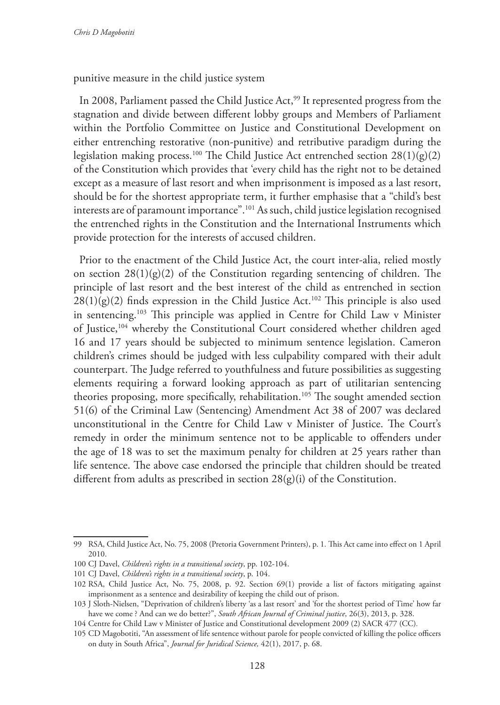punitive measure in the child justice system

In 2008, Parliament passed the Child Justice Act,<sup>99</sup> It represented progress from the stagnation and divide between different lobby groups and Members of Parliament within the Portfolio Committee on Justice and Constitutional Development on either entrenching restorative (non-punitive) and retributive paradigm during the legislation making process.<sup>100</sup> The Child Justice Act entrenched section  $28(1)(g)(2)$ of the Constitution which provides that 'every child has the right not to be detained except as a measure of last resort and when imprisonment is imposed as a last resort, should be for the shortest appropriate term, it further emphasise that a "child's best interests are of paramount importance".101 As such, child justice legislation recognised the entrenched rights in the Constitution and the International Instruments which provide protection for the interests of accused children.

Prior to the enactment of the Child Justice Act, the court inter-alia, relied mostly on section  $28(1)(g)(2)$  of the Constitution regarding sentencing of children. The principle of last resort and the best interest of the child as entrenched in section  $28(1)(g)(2)$  finds expression in the Child Justice Act.<sup>102</sup> This principle is also used in sentencing.103 This principle was applied in Centre for Child Law v Minister of Justice,104 whereby the Constitutional Court considered whether children aged 16 and 17 years should be subjected to minimum sentence legislation. Cameron children's crimes should be judged with less culpability compared with their adult counterpart. The Judge referred to youthfulness and future possibilities as suggesting elements requiring a forward looking approach as part of utilitarian sentencing theories proposing, more specifically, rehabilitation.<sup>105</sup> The sought amended section 51(6) of the Criminal Law (Sentencing) Amendment Act 38 of 2007 was declared unconstitutional in the Centre for Child Law v Minister of Justice. The Court's remedy in order the minimum sentence not to be applicable to offenders under the age of 18 was to set the maximum penalty for children at 25 years rather than life sentence. The above case endorsed the principle that children should be treated different from adults as prescribed in section 28(g)(i) of the Constitution.

<sup>99</sup> RSA, Child Justice Act, No. 75, 2008 (Pretoria Government Printers), p. 1*.* This Act came into effect on 1 April 2010.

<sup>100</sup> CJ Davel, *Children's rights in a transitional society*, pp. 102-104.

<sup>101</sup> CJ Davel, *Children's rights in a transitional society*, p. 104.

<sup>102</sup> RSA, Child Justice Act, No. 75, 2008, p. 92. Section 69(1) provide a list of factors mitigating against imprisonment as a sentence and desirability of keeping the child out of prison.

<sup>103</sup> J Sloth-Nielsen, "Deprivation of children's liberty 'as a last resort' and 'for the shortest period of Time' how far have we come ? And can we do better?", *South African Journal of Criminal justice*, 26(3), 2013, p. 328.

<sup>104</sup> Centre for Child Law v Minister of Justice and Constitutional development 2009 (2) SACR 477 (CC)*.*

<sup>105</sup> CD Magobotiti, "An assessment of life sentence without parole for people convicted of killing the police officers on duty in South Africa", *Journal for Juridical Science,* 42(1), 2017, p. 68.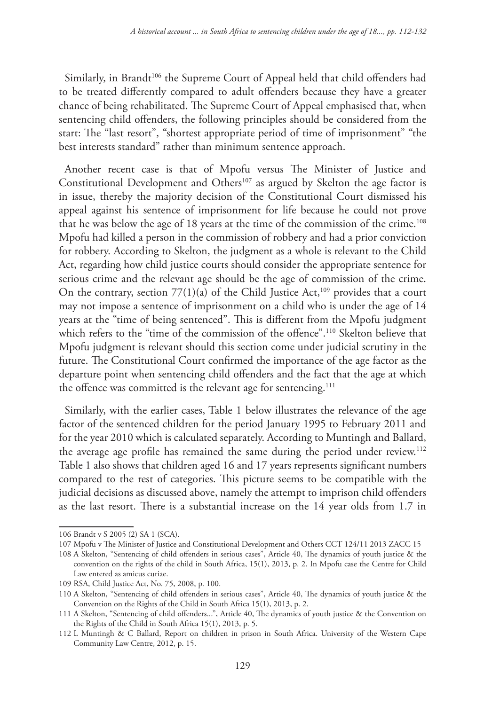Similarly, in Brandt<sup>106</sup> the Supreme Court of Appeal held that child offenders had to be treated differently compared to adult offenders because they have a greater chance of being rehabilitated. The Supreme Court of Appeal emphasised that, when sentencing child offenders, the following principles should be considered from the start: The "last resort", "shortest appropriate period of time of imprisonment" "the best interests standard" rather than minimum sentence approach.

Another recent case is that of Mpofu versus The Minister of Justice and Constitutional Development and Others<sup>107</sup> as argued by Skelton the age factor is in issue, thereby the majority decision of the Constitutional Court dismissed his appeal against his sentence of imprisonment for life because he could not prove that he was below the age of 18 years at the time of the commission of the crime.<sup>108</sup> Mpofu had killed a person in the commission of robbery and had a prior conviction for robbery. According to Skelton, the judgment as a whole is relevant to the Child Act, regarding how child justice courts should consider the appropriate sentence for serious crime and the relevant age should be the age of commission of the crime. On the contrary, section  $77(1)(a)$  of the Child Justice Act,<sup>109</sup> provides that a court may not impose a sentence of imprisonment on a child who is under the age of 14 years at the "time of being sentenced". This is different from the Mpofu judgment which refers to the "time of the commission of the offence".<sup>110</sup> Skelton believe that Mpofu judgment is relevant should this section come under judicial scrutiny in the future. The Constitutional Court confirmed the importance of the age factor as the departure point when sentencing child offenders and the fact that the age at which the offence was committed is the relevant age for sentencing.<sup>111</sup>

Similarly, with the earlier cases, Table 1 below illustrates the relevance of the age factor of the sentenced children for the period January 1995 to February 2011 and for the year 2010 which is calculated separately. According to Muntingh and Ballard, the average age profile has remained the same during the period under review.<sup>112</sup> Table 1 also shows that children aged 16 and 17 years represents significant numbers compared to the rest of categories. This picture seems to be compatible with the judicial decisions as discussed above, namely the attempt to imprison child offenders as the last resort. There is a substantial increase on the 14 year olds from 1.7 in

<sup>106</sup> Brandt v S 2005 (2) SA 1 (SCA).

<sup>107</sup> Mpofu v The Minister of Justice and Constitutional Development and Others CCT 124/11 2013 ZACC 15

<sup>108</sup> A Skelton, "Sentencing of child offenders in serious cases", Article 40, The dynamics of youth justice & the convention on the rights of the child in South Africa, 15(1), 2013, p. 2. In Mpofu case the Centre for Child Law entered as amicus curiae.

<sup>109</sup> RSA, Child Justice Act, No. 75, 2008, p. 100.

<sup>110</sup> A Skelton, "Sentencing of child offenders in serious cases", Article 40, The dynamics of youth justice & the Convention on the Rights of the Child in South Africa 15(1), 2013, p. 2.

<sup>111</sup> A Skelton, "Sentencing of child offenders...", Article 40, The dynamics of youth justice & the Convention on the Rights of the Child in South Africa 15(1), 2013, p. 5.

<sup>112</sup> L Muntingh & C Ballard, Report on children in prison in South Africa. University of the Western Cape Community Law Centre, 2012, p. 15.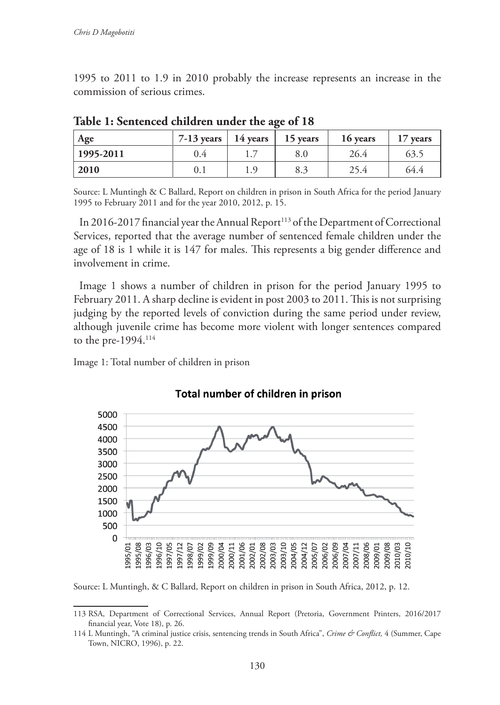1995 to 2011 to 1.9 in 2010 probably the increase represents an increase in the commission of serious crimes.

| Age             | 7-13 years $\vert$ | 14 years           | 15 years | 16 years | 17 years |
|-----------------|--------------------|--------------------|----------|----------|----------|
| $ 1995 - 2011 $ | 0.4                | $\pm \cdot \prime$ | 8.0      | 26.4     | 63.5     |
| 2010            | 0.1                | . റ<br>⊥.,         | 8.3      | 25.4     | 64.4     |

**Table 1: Sentenced children under the age of 18**

Source: L Muntingh & C Ballard, Report on children in prison in South Africa for the period January 1995 to February 2011 and for the year 2010, 2012, p. 15.

In 2016-2017 financial year the Annual Report<sup>113</sup> of the Department of Correctional Services, reported that the average number of sentenced female children under the age of 18 is 1 while it is 147 for males. This represents a big gender difference and involvement in crime.

Image 1 shows a number of children in prison for the period January 1995 to February 2011. A sharp decline is evident in post 2003 to 2011. This is not surprising judging by the reported levels of conviction during the same period under review, although juvenile crime has become more violent with longer sentences compared to the pre-1994.114

Image 1: Total number of children in prison



#### Total number of children in prison

Source: L Muntingh, & C Ballard, Report on children in prison in South Africa, 2012, p. 12.

<sup>113</sup> RSA, Department of Correctional Services, Annual Report (Pretoria, Government Printers, 2016/2017 financial year, Vote 18), p. 26.

<sup>114</sup> L Muntingh, "A criminal justice crisis, sentencing trends in South Africa", *Crime & Conflict,* 4 (Summer, Cape Town, NICRO, 1996), p. 22.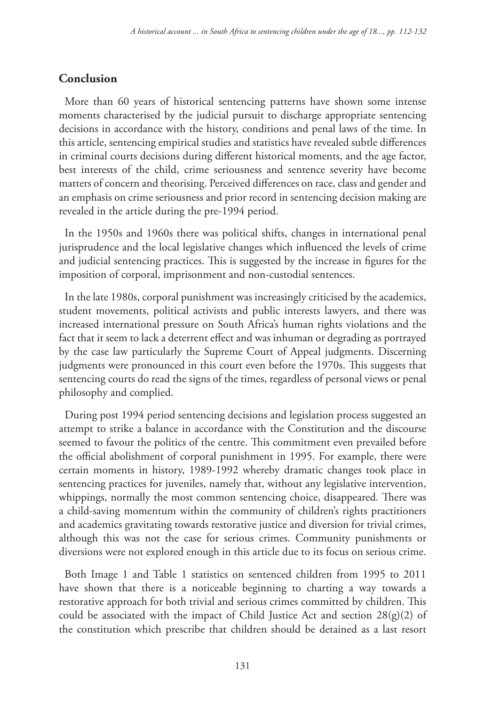### **Conclusion**

More than 60 years of historical sentencing patterns have shown some intense moments characterised by the judicial pursuit to discharge appropriate sentencing decisions in accordance with the history, conditions and penal laws of the time. In this article, sentencing empirical studies and statistics have revealed subtle differences in criminal courts decisions during different historical moments, and the age factor, best interests of the child, crime seriousness and sentence severity have become matters of concern and theorising. Perceived differences on race, class and gender and an emphasis on crime seriousness and prior record in sentencing decision making are revealed in the article during the pre-1994 period.

In the 1950s and 1960s there was political shifts, changes in international penal jurisprudence and the local legislative changes which influenced the levels of crime and judicial sentencing practices. This is suggested by the increase in figures for the imposition of corporal, imprisonment and non-custodial sentences.

In the late 1980s, corporal punishment was increasingly criticised by the academics, student movements, political activists and public interests lawyers, and there was increased international pressure on South Africa's human rights violations and the fact that it seem to lack a deterrent effect and was inhuman or degrading as portrayed by the case law particularly the Supreme Court of Appeal judgments. Discerning judgments were pronounced in this court even before the 1970s. This suggests that sentencing courts do read the signs of the times, regardless of personal views or penal philosophy and complied.

During post 1994 period sentencing decisions and legislation process suggested an attempt to strike a balance in accordance with the Constitution and the discourse seemed to favour the politics of the centre. This commitment even prevailed before the official abolishment of corporal punishment in 1995. For example, there were certain moments in history, 1989-1992 whereby dramatic changes took place in sentencing practices for juveniles, namely that, without any legislative intervention, whippings, normally the most common sentencing choice, disappeared. There was a child-saving momentum within the community of children's rights practitioners and academics gravitating towards restorative justice and diversion for trivial crimes, although this was not the case for serious crimes. Community punishments or diversions were not explored enough in this article due to its focus on serious crime.

Both Image 1 and Table 1 statistics on sentenced children from 1995 to 2011 have shown that there is a noticeable beginning to charting a way towards a restorative approach for both trivial and serious crimes committed by children. This could be associated with the impact of Child Justice Act and section  $28(g)(2)$  of the constitution which prescribe that children should be detained as a last resort